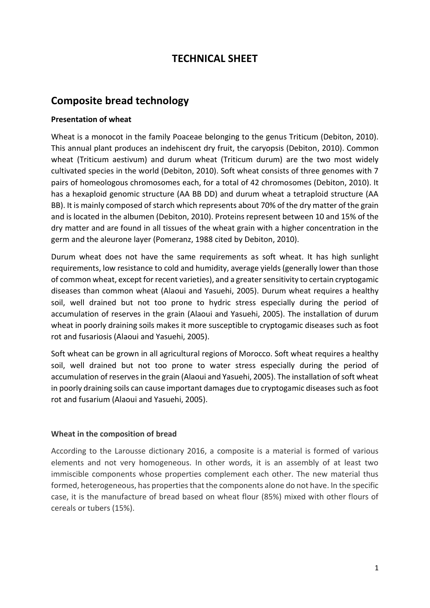# **TECHNICAL SHEET**

## **Composite bread technology**

## **Presentation of wheat**

Wheat is a monocot in the family Poaceae belonging to the genus Triticum (Debiton, 2010). This annual plant produces an indehiscent dry fruit, the caryopsis (Debiton, 2010). Common wheat (Triticum aestivum) and durum wheat (Triticum durum) are the two most widely cultivated species in the world (Debiton, 2010). Soft wheat consists of three genomes with 7 pairs of homeologous chromosomes each, for a total of 42 chromosomes (Debiton, 2010). It has a hexaploid genomic structure (AA BB DD) and durum wheat a tetraploid structure (AA BB). It is mainly composed of starch which represents about 70% of the dry matter of the grain and is located in the albumen (Debiton, 2010). Proteins represent between 10 and 15% of the dry matter and are found in all tissues of the wheat grain with a higher concentration in the germ and the aleurone layer (Pomeranz, 1988 cited by Debiton, 2010).

Durum wheat does not have the same requirements as soft wheat. It has high sunlight requirements, low resistance to cold and humidity, average yields (generally lower than those of common wheat, except for recent varieties), and a greater sensitivity to certain cryptogamic diseases than common wheat (Alaoui and Yasuehi, 2005). Durum wheat requires a healthy soil, well drained but not too prone to hydric stress especially during the period of accumulation of reserves in the grain (Alaoui and Yasuehi, 2005). The installation of durum wheat in poorly draining soils makes it more susceptible to cryptogamic diseases such as foot rot and fusariosis (Alaoui and Yasuehi, 2005).

Soft wheat can be grown in all agricultural regions of Morocco. Soft wheat requires a healthy soil, well drained but not too prone to water stress especially during the period of accumulation of reserves in the grain (Alaoui and Yasuehi, 2005). The installation of soft wheat in poorly draining soils can cause important damages due to cryptogamic diseases such as foot rot and fusarium (Alaoui and Yasuehi, 2005).

## **Wheat in the composition of bread**

According to the Larousse dictionary 2016, a composite is a material is formed of various elements and not very homogeneous. In other words, it is an assembly of at least two immiscible components whose properties complement each other. The new material thus formed, heterogeneous, has properties that the components alone do not have. In the specific case, it is the manufacture of bread based on wheat flour (85%) mixed with other flours of cereals or tubers (15%).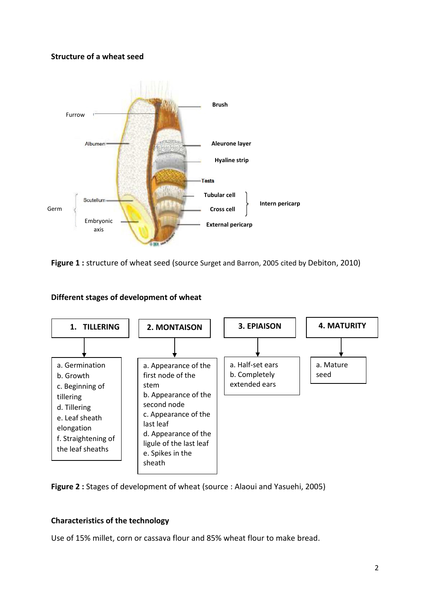#### **Structure of a wheat seed**



**Figure 1 :** structure of wheat seed (source Surget and Barron, 2005 cited by Debiton, 2010)



## **Different stages of development of wheat**



## **Characteristics of the technology**

Use of 15% millet, corn or cassava flour and 85% wheat flour to make bread.